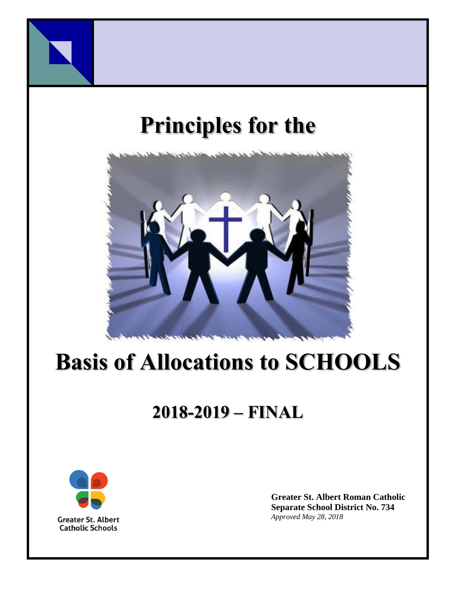

# **Principles for the**



# **Basis of Allocations to SCHOOLS**

# **2018-2019 – FINAL**



**Greater St. Albert Roman Catholic Separate School District No. 734** *Approved May 28, 2018*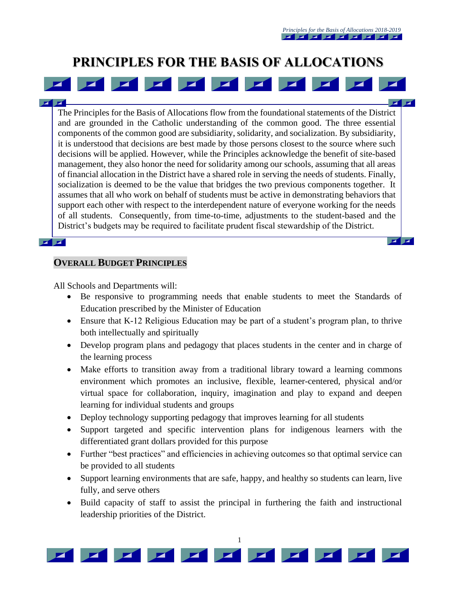$\mathbf{z}$   $\mathbf{z}$ 

 $\mathbf{Z}$   $\mathbf{Z}$ 

# **PRINCIPLES FOR THE BASIS OF ALLOCATIONS**

 $\blacksquare$ 

The Principles for the Basis of Allocations flow from the foundational statements of the District and are grounded in the Catholic understanding of the common good. The three essential components of the common good are subsidiarity, solidarity, and socialization. By subsidiarity, it is understood that decisions are best made by those persons closest to the source where such decisions will be applied. However, while the Principles acknowledge the benefit of site-based management, they also honor the need for solidarity among our schools, assuming that all areas of financial allocation in the District have a shared role in serving the needs of students. Finally, socialization is deemed to be the value that bridges the two previous components together. It assumes that all who work on behalf of students must be active in demonstrating behaviors that support each other with respect to the interdependent nature of everyone working for the needs of all students. Consequently, from time-to-time, adjustments to the student-based and the

District's budgets may be required to facilitate prudent fiscal stewardship of the District.

#### $\mathbf{z}$   $\mathbf{z}$

#### **OVERALL BUDGET PRINCIPLES**

All Schools and Departments will:

- Be responsive to programming needs that enable students to meet the Standards of Education prescribed by the Minister of Education
- Ensure that K-12 Religious Education may be part of a student's program plan, to thrive both intellectually and spiritually
- Develop program plans and pedagogy that places students in the center and in charge of the learning process
- Make efforts to transition away from a traditional library toward a learning commons environment which promotes an inclusive, flexible, learner-centered, physical and/or virtual space for collaboration, inquiry, imagination and play to expand and deepen learning for individual students and groups
- Deploy technology supporting pedagogy that improves learning for all students
- Support targeted and specific intervention plans for indigenous learners with the differentiated grant dollars provided for this purpose
- Further "best practices" and efficiencies in achieving outcomes so that optimal service can be provided to all students
- Support learning environments that are safe, happy, and healthy so students can learn, live fully, and serve others
- Build capacity of staff to assist the principal in furthering the faith and instructional leadership priorities of the District.

1

 $\blacktriangleright$ 

 $\blacksquare$ 





 $\blacksquare$ 

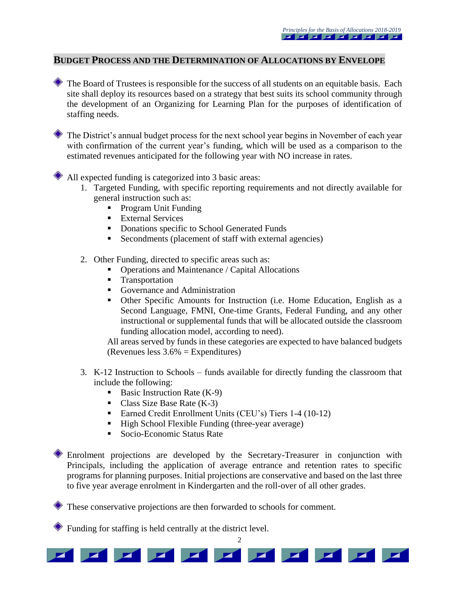#### **BUDGET PROCESS AND THE DETERMINATION OF ALLOCATIONS BY ENVELOPE**

The Board of Trustees is responsible for the success of all students on an equitable basis. Each site shall deploy its resources based on a strategy that best suits its school community through the development of an Organizing for Learning Plan for the purposes of identification of staffing needs.

The District's annual budget process for the next school year begins in November of each year with confirmation of the current year's funding, which will be used as a comparison to the estimated revenues anticipated for the following year with NO increase in rates.

All expected funding is categorized into 3 basic areas:

- 1. Targeted Funding, with specific reporting requirements and not directly available for general instruction such as:
	- Program Unit Funding
	- **External Services**
	- Donations specific to School Generated Funds
	- Secondments (placement of staff with external agencies)
- 2. Other Funding, directed to specific areas such as:
	- Operations and Maintenance / Capital Allocations
	- **Transportation**
	- Governance and Administration
	- Other Specific Amounts for Instruction (i.e. Home Education, English as a Second Language, FMNI, One-time Grants, Federal Funding, and any other instructional or supplemental funds that will be allocated outside the classroom funding allocation model, according to need).

All areas served by funds in these categories are expected to have balanced budgets (Revenues less 3.6% = Expenditures)

- 3. K-12 Instruction to Schools funds available for directly funding the classroom that include the following:
	- Basic Instruction Rate  $(K-9)$
	- Class Size Base Rate  $(K-3)$
	- Earned Credit Enrollment Units (CEU's) Tiers 1-4 (10-12)
	- High School Flexible Funding (three-year average)
	- Socio-Economic Status Rate

Enrolment projections are developed by the Secretary-Treasurer in conjunction with Principals, including the application of average entrance and retention rates to specific programs for planning purposes. Initial projections are conservative and based on the last three to five year average enrolment in Kindergarten and the roll-over of all other grades.

These conservative projections are then forwarded to schools for comment.

Funding for staffing is held centrally at the district level.



 $\overline{2}$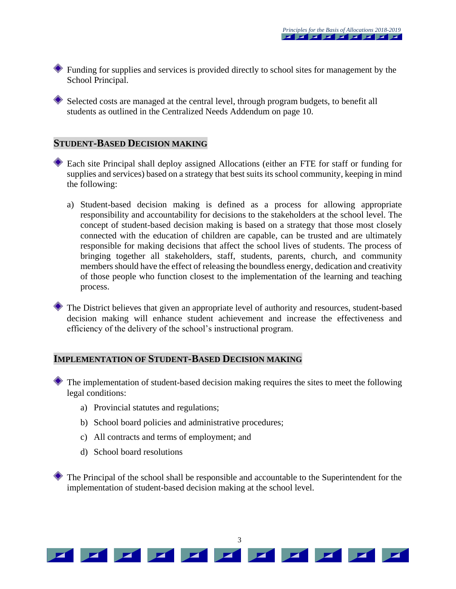Funding for supplies and services is provided directly to school sites for management by the School Principal.

Selected costs are managed at the central level, through program budgets, to benefit all students as outlined in the Centralized Needs Addendum on page 10.

#### **STUDENT-BASED DECISION MAKING**

- Each site Principal shall deploy assigned Allocations (either an FTE for staff or funding for supplies and services) based on a strategy that best suits its school community, keeping in mind the following:
	- a) Student-based decision making is defined as a process for allowing appropriate responsibility and accountability for decisions to the stakeholders at the school level. The concept of student-based decision making is based on a strategy that those most closely connected with the education of children are capable, can be trusted and are ultimately responsible for making decisions that affect the school lives of students. The process of bringing together all stakeholders, staff, students, parents, church, and community members should have the effect of releasing the boundless energy, dedication and creativity of those people who function closest to the implementation of the learning and teaching process.
- The District believes that given an appropriate level of authority and resources, student-based decision making will enhance student achievement and increase the effectiveness and efficiency of the delivery of the school's instructional program.

#### **IMPLEMENTATION OF STUDENT-BASED DECISION MAKING**

The implementation of student-based decision making requires the sites to meet the following legal conditions:

- a) Provincial statutes and regulations;
- b) School board policies and administrative procedures;
- c) All contracts and terms of employment; and
- d) School board resolutions

The Principal of the school shall be responsible and accountable to the Superintendent for the implementation of student-based decision making at the school level.

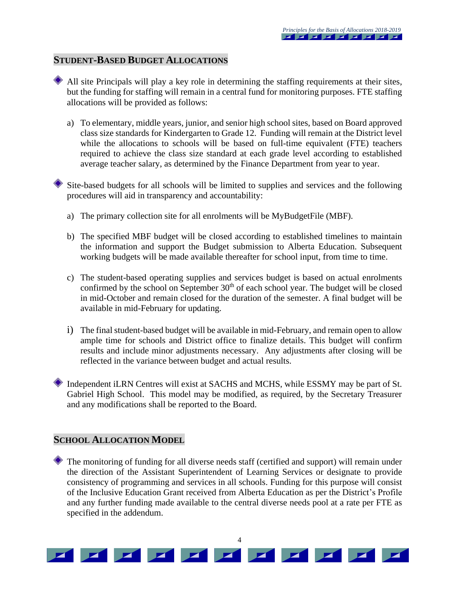#### **STUDENT-BASED BUDGET ALLOCATIONS**

- - All site Principals will play a key role in determining the staffing requirements at their sites, but the funding for staffing will remain in a central fund for monitoring purposes. FTE staffing allocations will be provided as follows:
		- a) To elementary, middle years, junior, and senior high school sites, based on Board approved class size standards for Kindergarten to Grade 12. Funding will remain at the District level while the allocations to schools will be based on full-time equivalent (FTE) teachers required to achieve the class size standard at each grade level according to established average teacher salary, as determined by the Finance Department from year to year.

Site-based budgets for all schools will be limited to supplies and services and the following procedures will aid in transparency and accountability:

- a) The primary collection site for all enrolments will be MyBudgetFile (MBF).
- b) The specified MBF budget will be closed according to established timelines to maintain the information and support the Budget submission to Alberta Education. Subsequent working budgets will be made available thereafter for school input, from time to time.
- c) The student-based operating supplies and services budget is based on actual enrolments confirmed by the school on September  $30<sup>th</sup>$  of each school year. The budget will be closed in mid-October and remain closed for the duration of the semester. A final budget will be available in mid-February for updating.
- i) The final student-based budget will be available in mid-February, and remain open to allow ample time for schools and District office to finalize details. This budget will confirm results and include minor adjustments necessary. Any adjustments after closing will be reflected in the variance between budget and actual results.
- Independent iLRN Centres will exist at SACHS and MCHS, while ESSMY may be part of St. Gabriel High School. This model may be modified, as required, by the Secretary Treasurer and any modifications shall be reported to the Board.

#### **SCHOOL ALLOCATION MODEL**

The monitoring of funding for all diverse needs staff (certified and support) will remain under the direction of the Assistant Superintendent of Learning Services or designate to provide consistency of programming and services in all schools. Funding for this purpose will consist of the Inclusive Education Grant received from Alberta Education as per the District's Profile and any further funding made available to the central diverse needs pool at a rate per FTE as specified in the addendum.

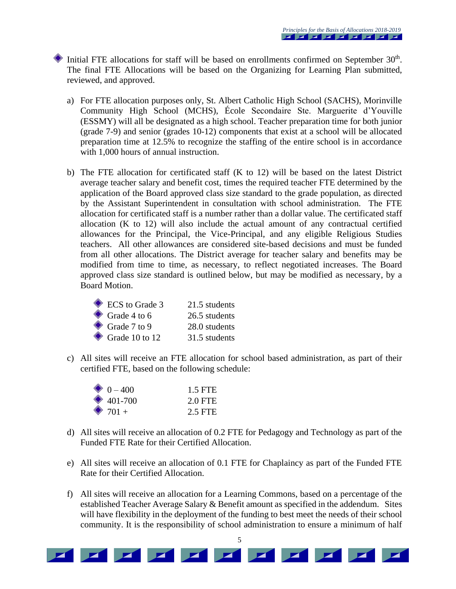Initial FTE allocations for staff will be based on enrollments confirmed on September  $30<sup>th</sup>$ . The final FTE Allocations will be based on the Organizing for Learning Plan submitted, reviewed, and approved.

- a) For FTE allocation purposes only, St. Albert Catholic High School (SACHS), Morinville Community High School (MCHS), École Secondaire Ste. Marguerite d'Youville (ESSMY) will all be designated as a high school. Teacher preparation time for both junior (grade 7-9) and senior (grades 10-12) components that exist at a school will be allocated preparation time at 12.5% to recognize the staffing of the entire school is in accordance with 1,000 hours of annual instruction.
- b) The FTE allocation for certificated staff (K to 12) will be based on the latest District average teacher salary and benefit cost, times the required teacher FTE determined by the application of the Board approved class size standard to the grade population, as directed by the Assistant Superintendent in consultation with school administration. The FTE allocation for certificated staff is a number rather than a dollar value. The certificated staff allocation (K to 12) will also include the actual amount of any contractual certified allowances for the Principal, the Vice-Principal, and any eligible Religious Studies teachers. All other allowances are considered site-based decisions and must be funded from all other allocations. The District average for teacher salary and benefits may be modified from time to time, as necessary, to reflect negotiated increases. The Board approved class size standard is outlined below, but may be modified as necessary, by a Board Motion.

| ECS to Grade 3           | 21.5 students |
|--------------------------|---------------|
| $\bullet$ Grade 4 to 6   | 26.5 students |
| $\bullet$ Grade 7 to 9   | 28.0 students |
| $\bullet$ Grade 10 to 12 | 31.5 students |

c) All sites will receive an FTE allocation for school based administration, as part of their certified FTE, based on the following schedule:

| $\bullet$ 0 – 400 | 1.5 FTE |
|-------------------|---------|
| $\bullet$ 401-700 | 2.0 FTE |
| $\bullet$ 701 +   | 2.5 FTE |

- d) All sites will receive an allocation of 0.2 FTE for Pedagogy and Technology as part of the Funded FTE Rate for their Certified Allocation.
- e) All sites will receive an allocation of 0.1 FTE for Chaplaincy as part of the Funded FTE Rate for their Certified Allocation.
- f) All sites will receive an allocation for a Learning Commons, based on a percentage of the established Teacher Average Salary & Benefit amount as specified in the addendum. Sites will have flexibility in the deployment of the funding to best meet the needs of their school community. It is the responsibility of school administration to ensure a minimum of half

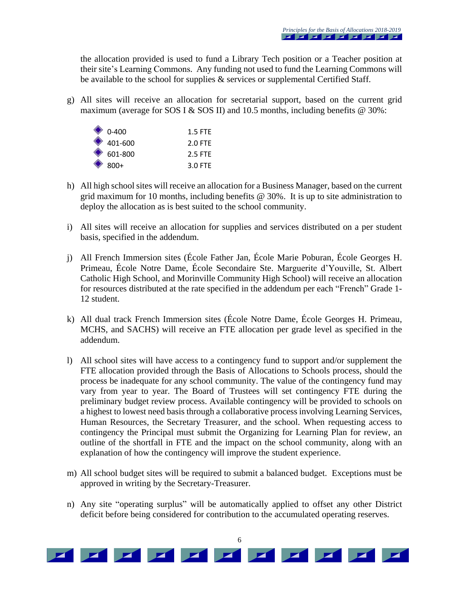the allocation provided is used to fund a Library Tech position or a Teacher position at their site's Learning Commons. Any funding not used to fund the Learning Commons will be available to the school for supplies & services or supplemental Certified Staff.

g) All sites will receive an allocation for secretarial support, based on the current grid maximum (average for SOS I & SOS II) and 10.5 months, including benefits  $@$  30%:

| $\bullet$ 0-400   | $1.5$ FTF |
|-------------------|-----------|
| $\bullet$ 401-600 | $2.0$ FTF |
| $\bullet$ 601-800 | 2.5 FTF   |
| $\bullet$ 800+    | $3.0$ FTF |

- h) All high school sites will receive an allocation for a Business Manager, based on the current grid maximum for 10 months, including benefits @ 30%. It is up to site administration to deploy the allocation as is best suited to the school community.
- i) All sites will receive an allocation for supplies and services distributed on a per student basis, specified in the addendum.
- j) All French Immersion sites (École Father Jan, École Marie Poburan, École Georges H. Primeau, École Notre Dame, École Secondaire Ste. Marguerite d'Youville, St. Albert Catholic High School, and Morinville Community High School) will receive an allocation for resources distributed at the rate specified in the addendum per each "French" Grade 1- 12 student.
- k) All dual track French Immersion sites (École Notre Dame, École Georges H. Primeau, MCHS, and SACHS) will receive an FTE allocation per grade level as specified in the addendum.
- l) All school sites will have access to a contingency fund to support and/or supplement the FTE allocation provided through the Basis of Allocations to Schools process, should the process be inadequate for any school community. The value of the contingency fund may vary from year to year. The Board of Trustees will set contingency FTE during the preliminary budget review process. Available contingency will be provided to schools on a highest to lowest need basis through a collaborative process involving Learning Services, Human Resources, the Secretary Treasurer, and the school. When requesting access to contingency the Principal must submit the Organizing for Learning Plan for review, an outline of the shortfall in FTE and the impact on the school community, along with an explanation of how the contingency will improve the student experience.
- m) All school budget sites will be required to submit a balanced budget. Exceptions must be approved in writing by the Secretary-Treasurer.
- n) Any site "operating surplus" will be automatically applied to offset any other District deficit before being considered for contribution to the accumulated operating reserves.

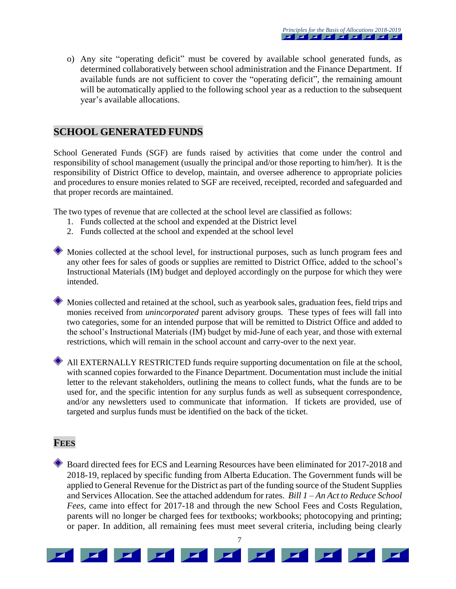o) Any site "operating deficit" must be covered by available school generated funds, as determined collaboratively between school administration and the Finance Department. If available funds are not sufficient to cover the "operating deficit", the remaining amount will be automatically applied to the following school year as a reduction to the subsequent year's available allocations.

### **SCHOOL GENERATED FUNDS**

School Generated Funds (SGF) are funds raised by activities that come under the control and responsibility of school management (usually the principal and/or those reporting to him/her). It is the responsibility of District Office to develop, maintain, and oversee adherence to appropriate policies and procedures to ensure monies related to SGF are received, receipted, recorded and safeguarded and that proper records are maintained.

The two types of revenue that are collected at the school level are classified as follows:

- 1. Funds collected at the school and expended at the District level
- 2. Funds collected at the school and expended at the school level
- Monies collected at the school level, for instructional purposes, such as lunch program fees and any other fees for sales of goods or supplies are remitted to District Office, added to the school's Instructional Materials (IM) budget and deployed accordingly on the purpose for which they were intended.
	- Monies collected and retained at the school, such as yearbook sales, graduation fees, field trips and monies received from *unincorporated* parent advisory groups. These types of fees will fall into two categories, some for an intended purpose that will be remitted to District Office and added to the school's Instructional Materials (IM) budget by mid-June of each year, and those with external restrictions, which will remain in the school account and carry-over to the next year.
- All EXTERNALLY RESTRICTED funds require supporting documentation on file at the school, with scanned copies forwarded to the Finance Department. Documentation must include the initial letter to the relevant stakeholders, outlining the means to collect funds, what the funds are to be used for, and the specific intention for any surplus funds as well as subsequent correspondence, and/or any newsletters used to communicate that information. If tickets are provided, use of targeted and surplus funds must be identified on the back of the ticket.

#### **FEES**

Board directed fees for ECS and Learning Resources have been eliminated for 2017-2018 and 2018-19, replaced by specific funding from Alberta Education. The Government funds will be applied to General Revenue for the District as part of the funding source of the Student Supplies and Services Allocation. See the attached addendum for rates. *Bill 1 – An Act to Reduce School Fees*, came into effect for 2017-18 and through the new School Fees and Costs Regulation, parents will no longer be charged fees for textbooks; workbooks; photocopying and printing; or paper. In addition, all remaining fees must meet several criteria, including being clearly

7

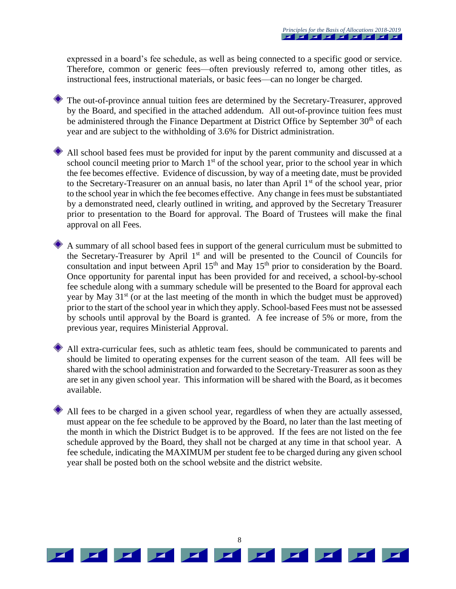expressed in a board's fee schedule, as well as being connected to a specific good or service. Therefore, common or generic fees—often previously referred to, among other titles, as instructional fees, instructional materials, or basic fees—can no longer be charged.

The out-of-province annual tuition fees are determined by the Secretary-Treasurer, approved by the Board, and specified in the attached addendum. All out-of-province tuition fees must be administered through the Finance Department at District Office by September 30<sup>th</sup> of each year and are subject to the withholding of 3.6% for District administration.

All school based fees must be provided for input by the parent community and discussed at a school council meeting prior to March 1<sup>st</sup> of the school year, prior to the school year in which the fee becomes effective. Evidence of discussion, by way of a meeting date, must be provided to the Secretary-Treasurer on an annual basis, no later than April 1<sup>st</sup> of the school year, prior to the school year in which the fee becomes effective. Any change in fees must be substantiated by a demonstrated need, clearly outlined in writing, and approved by the Secretary Treasurer prior to presentation to the Board for approval. The Board of Trustees will make the final approval on all Fees.

A summary of all school based fees in support of the general curriculum must be submitted to the Secretary-Treasurer by April 1<sup>st</sup> and will be presented to the Council of Councils for consultation and input between April 15<sup>th</sup> and May 15<sup>th</sup> prior to consideration by the Board. Once opportunity for parental input has been provided for and received, a school-by-school fee schedule along with a summary schedule will be presented to the Board for approval each year by May  $31<sup>st</sup>$  (or at the last meeting of the month in which the budget must be approved) prior to the start of the school year in which they apply. School-based Fees must not be assessed by schools until approval by the Board is granted. A fee increase of 5% or more, from the previous year, requires Ministerial Approval.

All extra-curricular fees, such as athletic team fees, should be communicated to parents and should be limited to operating expenses for the current season of the team. All fees will be shared with the school administration and forwarded to the Secretary-Treasurer as soon as they are set in any given school year. This information will be shared with the Board, as it becomes available.

All fees to be charged in a given school year, regardless of when they are actually assessed, must appear on the fee schedule to be approved by the Board, no later than the last meeting of the month in which the District Budget is to be approved. If the fees are not listed on the fee schedule approved by the Board, they shall not be charged at any time in that school year. A fee schedule, indicating the MAXIMUM per student fee to be charged during any given school year shall be posted both on the school website and the district website.

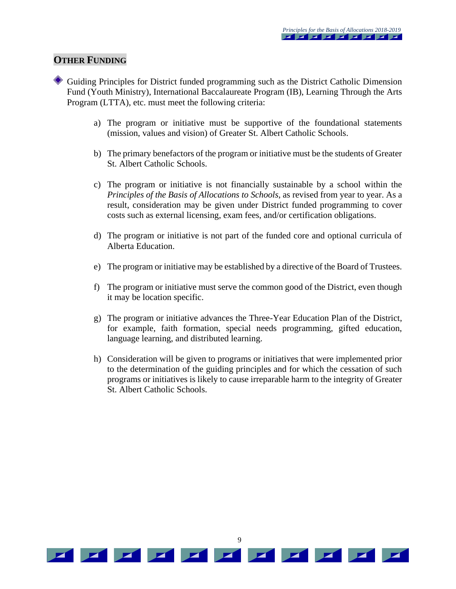#### **OTHER FUNDING**

- Guiding Principles for District funded programming such as the District Catholic Dimension Fund (Youth Ministry), International Baccalaureate Program (IB), Learning Through the Arts Program (LTTA), etc. must meet the following criteria:
	- a) The program or initiative must be supportive of the foundational statements (mission, values and vision) of Greater St. Albert Catholic Schools.
	- b) The primary benefactors of the program or initiative must be the students of Greater St. Albert Catholic Schools.
	- c) The program or initiative is not financially sustainable by a school within the *Principles of the Basis of Allocations to Schools*, as revised from year to year. As a result, consideration may be given under District funded programming to cover costs such as external licensing, exam fees, and/or certification obligations.
	- d) The program or initiative is not part of the funded core and optional curricula of Alberta Education.
	- e) The program or initiative may be established by a directive of the Board of Trustees.
	- f) The program or initiative must serve the common good of the District, even though it may be location specific.
	- g) The program or initiative advances the Three-Year Education Plan of the District, for example, faith formation, special needs programming, gifted education, language learning, and distributed learning.
	- h) Consideration will be given to programs or initiatives that were implemented prior to the determination of the guiding principles and for which the cessation of such programs or initiatives is likely to cause irreparable harm to the integrity of Greater St. Albert Catholic Schools.

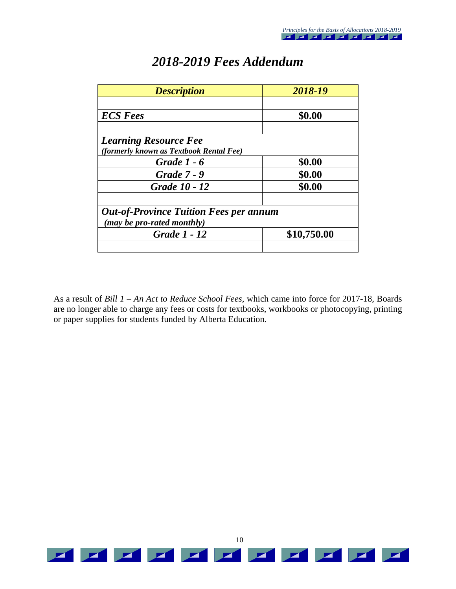| <b>Description</b>                            | 2018-19     |  |
|-----------------------------------------------|-------------|--|
|                                               |             |  |
| <b>ECS</b> Fees                               | \$0.00      |  |
|                                               |             |  |
| <b>Learning Resource Fee</b>                  |             |  |
| (formerly known as Textbook Rental Fee)       |             |  |
| Grade 1 - 6                                   | \$0.00      |  |
| <b>Grade 7 - 9</b>                            | \$0.00      |  |
| Grade 10 - 12                                 | \$0.00      |  |
|                                               |             |  |
| <b>Out-of-Province Tuition Fees per annum</b> |             |  |
| (may be pro-rated monthly)                    |             |  |
| Grade 1 - 12                                  | \$10,750.00 |  |
|                                               |             |  |

# *2018-2019 Fees Addendum*

As a result of *Bill 1 – An Act to Reduce School Fees,* which came into force for 2017-18*,* Boards are no longer able to charge any fees or costs for textbooks, workbooks or photocopying, printing or paper supplies for students funded by Alberta Education.

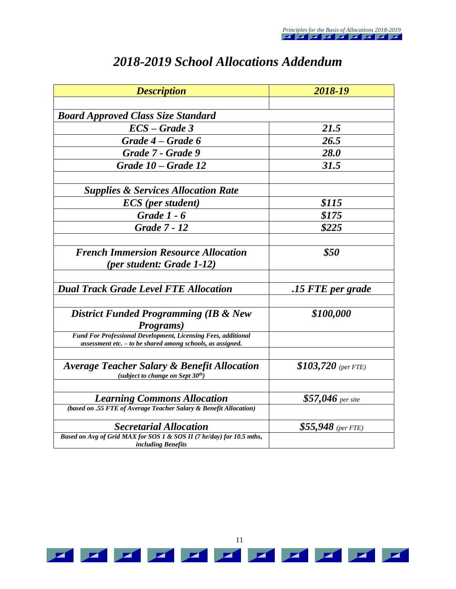| <b>Description</b>                                                                                                              | 2018-19              |  |
|---------------------------------------------------------------------------------------------------------------------------------|----------------------|--|
|                                                                                                                                 |                      |  |
| <b>Board Approved Class Size Standard</b>                                                                                       |                      |  |
| $\textit{ECS}-\textit{Grade}$ 3                                                                                                 | 21.5                 |  |
| Grade 4 – Grade 6                                                                                                               | 26.5                 |  |
| Grade 7 - Grade 9                                                                                                               | <b>28.0</b>          |  |
| Grade 10 – Grade 12                                                                                                             | 31.5                 |  |
|                                                                                                                                 |                      |  |
| <b>Supplies &amp; Services Allocation Rate</b>                                                                                  |                      |  |
| <b>ECS</b> (per student)                                                                                                        | \$115                |  |
| <b>Grade 1 - 6</b>                                                                                                              | \$175                |  |
| <b>Grade 7 - 12</b>                                                                                                             | \$225                |  |
|                                                                                                                                 |                      |  |
| <b>French Immersion Resource Allocation</b>                                                                                     | \$50                 |  |
| (per student: Grade 1-12)                                                                                                       |                      |  |
|                                                                                                                                 |                      |  |
| <b>Dual Track Grade Level FTE Allocation</b>                                                                                    | .15 FTE per grade    |  |
| <b>District Funded Programming (IB &amp; New</b>                                                                                | \$100,000            |  |
| Programs)                                                                                                                       |                      |  |
| Fund For Professional Development, Licensing Fees, additional<br>$assessment$ etc. $-$ to be shared among schools, as assigned. |                      |  |
| <b>Average Teacher Salary &amp; Benefit Allocation</b><br>(subject to change on Sept $30th$ )                                   | $$103,720$ (per FTE) |  |
|                                                                                                                                 |                      |  |
| <b>Learning Commons Allocation</b>                                                                                              | $$57,046$ per site   |  |
| (based on .55 FTE of Average Teacher Salary & Benefit Allocation)                                                               |                      |  |
| <b>Secretarial Allocation</b>                                                                                                   | $$55,948$ (per FTE)  |  |
| Based on Avg of Grid MAX for SOS 1 & SOS II (7 hr/day) for 10.5 mths,<br><i>including Benefits</i>                              |                      |  |

# *2018-2019 School Allocations Addendum*